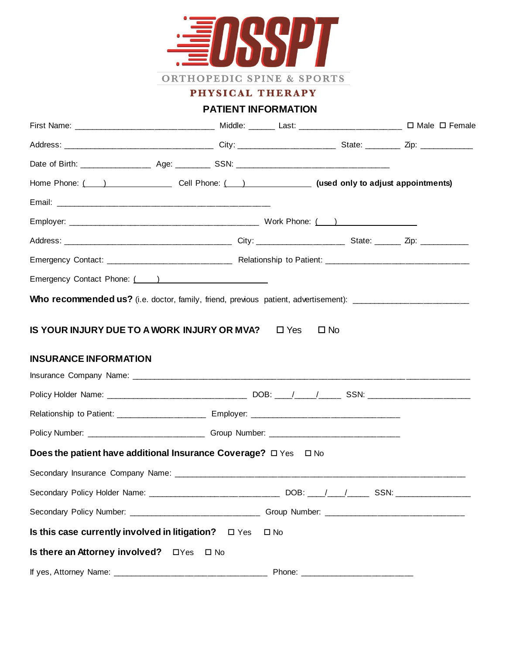

PHYSICAL THERAPY

# **PATIENT INFORMATION**

| First Name: _____________________________ Middle: ______ Last: ______________________ □ Male □ Female          |              |                                                                                                                                                                                                                                |  |  |  |  |  |
|----------------------------------------------------------------------------------------------------------------|--------------|--------------------------------------------------------------------------------------------------------------------------------------------------------------------------------------------------------------------------------|--|--|--|--|--|
|                                                                                                                |              |                                                                                                                                                                                                                                |  |  |  |  |  |
|                                                                                                                |              |                                                                                                                                                                                                                                |  |  |  |  |  |
| Home Phone: (inc. ) Cell Phone: (inc. ) (used only to adjust appointments)                                     |              |                                                                                                                                                                                                                                |  |  |  |  |  |
|                                                                                                                |              |                                                                                                                                                                                                                                |  |  |  |  |  |
|                                                                                                                |              |                                                                                                                                                                                                                                |  |  |  |  |  |
|                                                                                                                |              |                                                                                                                                                                                                                                |  |  |  |  |  |
|                                                                                                                |              |                                                                                                                                                                                                                                |  |  |  |  |  |
| Emergency Contact Phone: (All Allen Contract Phone: (All Allen Contract Phone: (All Allen Contract Contract Co |              |                                                                                                                                                                                                                                |  |  |  |  |  |
| Who recommended us? (i.e. doctor, family, friend, previous patient, advertisement): _________________________  |              |                                                                                                                                                                                                                                |  |  |  |  |  |
| <b>INSURANCE INFORMATION</b>                                                                                   |              |                                                                                                                                                                                                                                |  |  |  |  |  |
|                                                                                                                |              |                                                                                                                                                                                                                                |  |  |  |  |  |
| Relationship to Patient: _______________________ Employer: ______________________                              |              |                                                                                                                                                                                                                                |  |  |  |  |  |
|                                                                                                                |              |                                                                                                                                                                                                                                |  |  |  |  |  |
| Does the patient have additional Insurance Coverage? $\Box$ Yes $\Box$ No                                      |              |                                                                                                                                                                                                                                |  |  |  |  |  |
|                                                                                                                |              |                                                                                                                                                                                                                                |  |  |  |  |  |
| Secondary Policy Holder Name: _________                                                                        |              | _________ DOB: ____/ ___/_____ SSN: _________                                                                                                                                                                                  |  |  |  |  |  |
|                                                                                                                |              |                                                                                                                                                                                                                                |  |  |  |  |  |
| Is this case currently involved in litigation? $\square$ Yes                                                   | $\square$ No |                                                                                                                                                                                                                                |  |  |  |  |  |
| Is there an Attorney involved?<br>$\Box$ Yes $\Box$ No                                                         |              |                                                                                                                                                                                                                                |  |  |  |  |  |
|                                                                                                                |              | Phone: The Company of the Company of the Company of the Company of the Company of the Company of the Company of the Company of the Company of the Company of the Company of the Company of the Company of the Company of the C |  |  |  |  |  |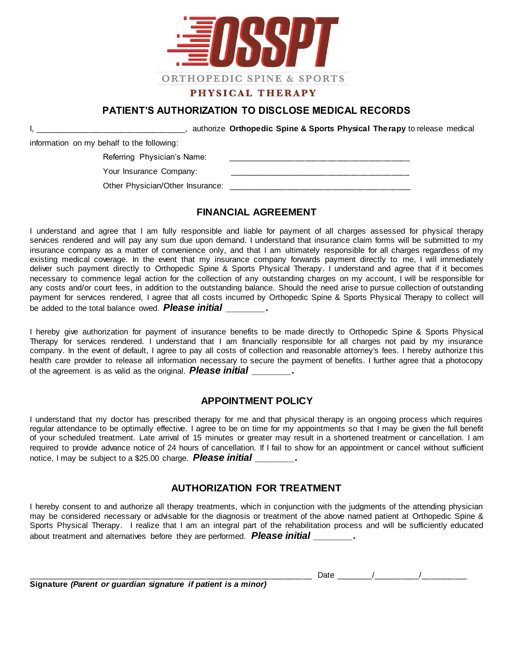

# **PATIENT'S AUTHORIZATION TO DISCLOSE MEDICAL RECORDS**

I, \_\_\_\_\_\_\_\_\_\_\_\_\_\_\_\_\_\_\_\_\_\_\_\_\_\_\_\_\_\_\_\_\_, authorize **Orthopedic Spine & Sports Physical Therapy** to release medical

information on my behalf to the following:

Referring Physician's Name:

Your Insurance Company:

Other Physician/Other Insurance:  $\Box$ 

#### **FINANCIAL AGREEMENT**

I understand and agree that I am fully responsible and liable for payment of all charges assessed for physical therapy services rendered and will pay any sum due upon demand. I understand that insurance claim forms will be submitted to my insurance company as a matter of convenience only, and that I am ultimately responsible for all charges regardless of my existing medical coverage. In the event that my insurance company forwards payment directly to me, I will immediately deliver such payment directly to Orthopedic Spine & Sports Physical Therapy. I understand and agree that if it becomes necessary to commence legal action for the collection of any outstanding charges on my account, I will be responsible for any costs and/or court fees, in addition to the outstanding balance. Should the need arise to pursue collection of outstanding payment for services rendered, I agree that all costs incurred by Orthopedic Spine & Sports Physical Therapy to collect will be added to the total balance owed. *Please initial \_\_\_\_\_\_\_***.**

I hereby give authorization for payment of insurance benefits to be made directly to Orthopedic Spine & Sports Physical Therapy for services rendered. I understand that I am financially responsible for all charges not paid by my insurance company. In the event of default, I agree to pay all costs of collection and reasonable attorney's fees. I hereby authorize t his health care provider to release all information necessary to secure the payment of benefits. I further agree that a photocopy of the agreement is as valid as the original. *Please initial \_\_\_\_\_\_\_***.**

## **APPOINTMENT POLICY**

I understand that my doctor has prescribed therapy for me and that physical therapy is an ongoing process which requires regular attendance to be optimally effective. I agree to be on time for my appointments so that I may be given the full benefit of your scheduled treatment. Late arrival of 15 minutes or greater may result in a shortened treatment or cancellation. I am required to provide advance notice of 24 hours of cancellation. If I fail to show for an appointment or cancel without sufficient notice, I may be subject to a \$25.00 charge. *Please initial \_\_\_\_\_\_\_***.**

## **AUTHORIZATION FOR TREATMENT**

I hereby consent to and authorize all therapy treatments, which in conjunction with the judgments of the attending physician may be considered necessary or advisable for the diagnosis or treatment of the above named patient at Orthopedic Spine & Sports Physical Therapy. I realize that I am an integral part of the rehabilitation process and will be sufficiently educated about treatment and alternatives before they are performed. *Please initial \_\_\_\_\_\_\_***.**

**Signature** *(Parent or guardian signature if patient is a minor)*

\_\_\_\_\_\_\_\_\_\_\_\_\_\_\_\_\_\_\_\_\_\_\_\_\_\_\_\_\_\_\_\_\_\_\_\_\_\_\_\_\_\_\_\_\_\_\_\_\_\_\_\_\_\_\_\_\_\_\_\_\_\_ Date \_\_\_\_\_\_\_\_/\_\_\_\_\_\_\_\_\_\_/\_\_\_\_\_\_\_\_\_\_